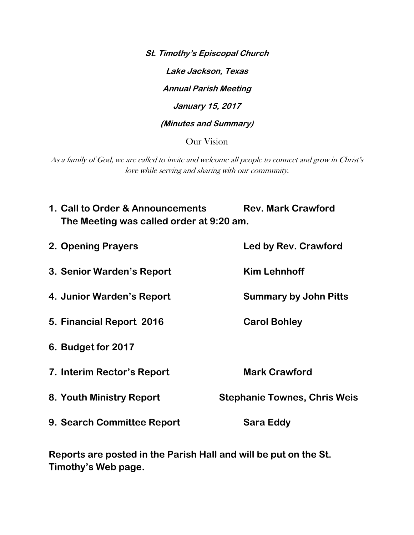**St. Timothy's Episcopal Church Lake Jackson, Texas Annual Parish Meeting January 15, 2017 (Minutes and Summary)**  Our Vision

As a family of God, we are called to invite and welcome all people to connect and grow in Christ's love while serving and sharing with our community.

| 1. Call to Order & Announcements<br>The Meeting was called order at 9:20 am. | <b>Rev. Mark Crawford</b>           |
|------------------------------------------------------------------------------|-------------------------------------|
| 2. Opening Prayers                                                           | Led by Rev. Crawford                |
| 3. Senior Warden's Report                                                    | <b>Kim Lehnhoff</b>                 |
| 4. Junior Warden's Report                                                    | <b>Summary by John Pitts</b>        |
| 5. Financial Report 2016                                                     | <b>Carol Bohley</b>                 |
| 6. Budget for 2017                                                           |                                     |
| 7. Interim Rector's Report                                                   | <b>Mark Crawford</b>                |
| 8. Youth Ministry Report                                                     | <b>Stephanie Townes, Chris Weis</b> |
| 9. Search Committee Report                                                   | Sara Eddy                           |
|                                                                              |                                     |

**Reports are posted in the Parish Hall and will be put on the St. Timothy's Web page.**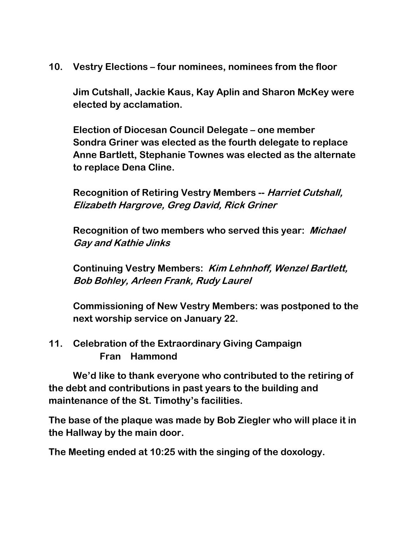**10. Vestry Elections – four nominees, nominees from the floor** 

**Jim Cutshall, Jackie Kaus, Kay Aplin and Sharon McKey were elected by acclamation.** 

**Election of Diocesan Council Delegate – one member Sondra Griner was elected as the fourth delegate to replace Anne Bartlett, Stephanie Townes was elected as the alternate to replace Dena Cline.** 

**Recognition of Retiring Vestry Members -- Harriet Cutshall, Elizabeth Hargrove, Greg David, Rick Griner**

**Recognition of two members who served this year: Michael Gay and Kathie Jinks**

**Continuing Vestry Members: Kim Lehnhoff, Wenzel Bartlett, Bob Bohley, Arleen Frank, Rudy Laurel** 

**Commissioning of New Vestry Members: was postponed to the next worship service on January 22.** 

**11. Celebration of the Extraordinary Giving Campaign Fran Hammond**

**We'd like to thank everyone who contributed to the retiring of the debt and contributions in past years to the building and maintenance of the St. Timothy's facilities.**

**The base of the plaque was made by Bob Ziegler who will place it in the Hallway by the main door.** 

**The Meeting ended at 10:25 with the singing of the doxology.**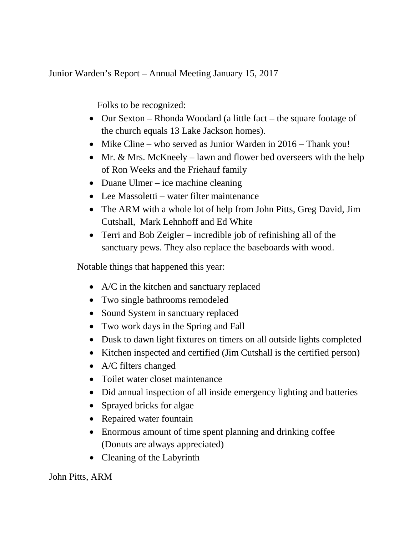Junior Warden's Report – Annual Meeting January 15, 2017

Folks to be recognized:

- Our Sexton Rhonda Woodard (a little fact the square footage of the church equals 13 Lake Jackson homes).
- Mike Cline who served as Junior Warden in 2016 Thank you!
- Mr. & Mrs. McKneely lawn and flower bed overseers with the help of Ron Weeks and the Friehauf family
- Duane Ulmer ice machine cleaning
- Lee Massoletti water filter maintenance
- The ARM with a whole lot of help from John Pitts, Greg David, Jim Cutshall, Mark Lehnhoff and Ed White
- Terri and Bob Zeigler incredible job of refinishing all of the sanctuary pews. They also replace the baseboards with wood.

Notable things that happened this year:

- A/C in the kitchen and sanctuary replaced
- Two single bathrooms remodeled
- Sound System in sanctuary replaced
- Two work days in the Spring and Fall
- Dusk to dawn light fixtures on timers on all outside lights completed
- Kitchen inspected and certified (Jim Cutshall is the certified person)
- A/C filters changed
- Toilet water closet maintenance
- Did annual inspection of all inside emergency lighting and batteries
- Sprayed bricks for algae
- Repaired water fountain
- Enormous amount of time spent planning and drinking coffee (Donuts are always appreciated)
- Cleaning of the Labyrinth

John Pitts, ARM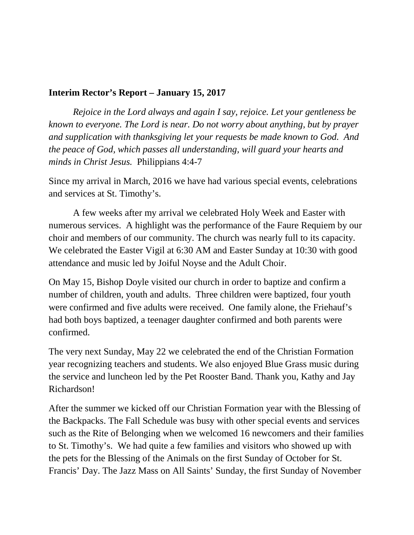## **Interim Rector's Report – January 15, 2017**

*Rejoice in the Lord always and again I say, rejoice. Let your gentleness be known to everyone. The Lord is near. Do not worry about anything, but by prayer and supplication with thanksgiving let your requests be made known to God. And the peace of God, which passes all understanding, will guard your hearts and minds in Christ Jesus.* Philippians 4:4-7

Since my arrival in March, 2016 we have had various special events, celebrations and services at St. Timothy's.

A few weeks after my arrival we celebrated Holy Week and Easter with numerous services. A highlight was the performance of the Faure Requiem by our choir and members of our community. The church was nearly full to its capacity. We celebrated the Easter Vigil at 6:30 AM and Easter Sunday at 10:30 with good attendance and music led by Joiful Noyse and the Adult Choir.

On May 15, Bishop Doyle visited our church in order to baptize and confirm a number of children, youth and adults. Three children were baptized, four youth were confirmed and five adults were received. One family alone, the Friehauf's had both boys baptized, a teenager daughter confirmed and both parents were confirmed.

The very next Sunday, May 22 we celebrated the end of the Christian Formation year recognizing teachers and students. We also enjoyed Blue Grass music during the service and luncheon led by the Pet Rooster Band. Thank you, Kathy and Jay Richardson!

After the summer we kicked off our Christian Formation year with the Blessing of the Backpacks. The Fall Schedule was busy with other special events and services such as the Rite of Belonging when we welcomed 16 newcomers and their families to St. Timothy's. We had quite a few families and visitors who showed up with the pets for the Blessing of the Animals on the first Sunday of October for St. Francis' Day. The Jazz Mass on All Saints' Sunday, the first Sunday of November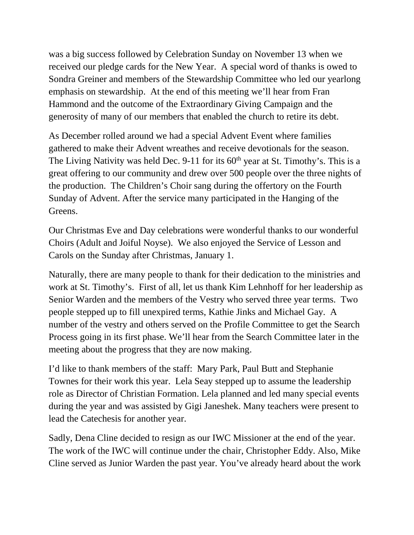was a big success followed by Celebration Sunday on November 13 when we received our pledge cards for the New Year. A special word of thanks is owed to Sondra Greiner and members of the Stewardship Committee who led our yearlong emphasis on stewardship. At the end of this meeting we'll hear from Fran Hammond and the outcome of the Extraordinary Giving Campaign and the generosity of many of our members that enabled the church to retire its debt.

As December rolled around we had a special Advent Event where families gathered to make their Advent wreathes and receive devotionals for the season. The Living Nativity was held Dec. 9-11 for its  $60<sup>th</sup>$  year at St. Timothy's. This is a great offering to our community and drew over 500 people over the three nights of the production. The Children's Choir sang during the offertory on the Fourth Sunday of Advent. After the service many participated in the Hanging of the Greens.

Our Christmas Eve and Day celebrations were wonderful thanks to our wonderful Choirs (Adult and Joiful Noyse). We also enjoyed the Service of Lesson and Carols on the Sunday after Christmas, January 1.

Naturally, there are many people to thank for their dedication to the ministries and work at St. Timothy's. First of all, let us thank Kim Lehnhoff for her leadership as Senior Warden and the members of the Vestry who served three year terms. Two people stepped up to fill unexpired terms, Kathie Jinks and Michael Gay. A number of the vestry and others served on the Profile Committee to get the Search Process going in its first phase. We'll hear from the Search Committee later in the meeting about the progress that they are now making.

I'd like to thank members of the staff: Mary Park, Paul Butt and Stephanie Townes for their work this year. Lela Seay stepped up to assume the leadership role as Director of Christian Formation. Lela planned and led many special events during the year and was assisted by Gigi Janeshek. Many teachers were present to lead the Catechesis for another year.

Sadly, Dena Cline decided to resign as our IWC Missioner at the end of the year. The work of the IWC will continue under the chair, Christopher Eddy. Also, Mike Cline served as Junior Warden the past year. You've already heard about the work